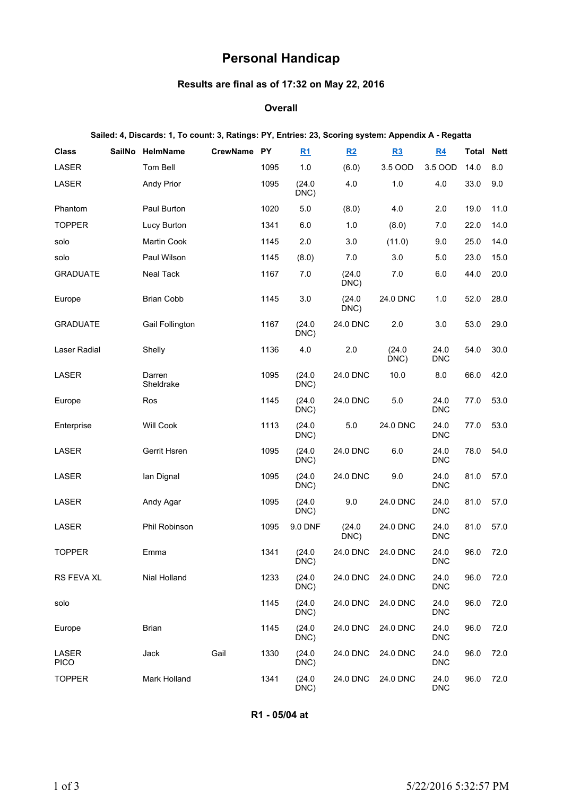# **Personal Handicap**

# **Results are final as of 17:32 on May 22, 2016**

#### **Overall**

#### **Sailed: 4, Discards: 1, To count: 3, Ratings: PY, Entries: 23, Scoring system: Appendix A - Regatta**

| <b>Class</b>         | <b>SailNo</b> | HelmName            | CrewName PY |      | R1                         | R2             | R3             | <u>R4</u>          | <b>Total</b> | <b>Nett</b> |
|----------------------|---------------|---------------------|-------------|------|----------------------------|----------------|----------------|--------------------|--------------|-------------|
| LASER                |               | Tom Bell            |             | 1095 | 1.0                        | (6.0)          | 3.5 OOD        | 3.5 OOD            | 14.0         | 8.0         |
| LASER                |               | <b>Andy Prior</b>   |             | 1095 | (24.0)<br>DNC)             | 4.0            | 1.0            | 4.0                | 33.0         | 9.0         |
| Phantom              |               | Paul Burton         |             | 1020 | 5.0                        | (8.0)          | 4.0            | 2.0                | 19.0         | 11.0        |
| <b>TOPPER</b>        |               | Lucy Burton         |             | 1341 | 6.0                        | 1.0            | (8.0)          | 7.0                | 22.0         | 14.0        |
| solo                 |               | <b>Martin Cook</b>  |             | 1145 | 2.0                        | 3.0            | (11.0)         | 9.0                | 25.0         | 14.0        |
| solo                 |               | Paul Wilson         |             | 1145 | (8.0)                      | 7.0            | 3.0            | 5.0                | 23.0         | 15.0        |
| <b>GRADUATE</b>      |               | <b>Neal Tack</b>    |             | 1167 | 7.0                        | (24.0)<br>DNC) | 7.0            | 6.0                | 44.0         | 20.0        |
| Europe               |               | <b>Brian Cobb</b>   |             | 1145 | 3.0                        | (24.0)<br>DNC) | 24.0 DNC       | 1.0                | 52.0         | 28.0        |
| <b>GRADUATE</b>      |               | Gail Follington     |             | 1167 | (24.0)<br>DNC)             | 24.0 DNC       | 2.0            | 3.0                | 53.0         | 29.0        |
| <b>Laser Radial</b>  |               | Shelly              |             | 1136 | 4.0                        | 2.0            | (24.0)<br>DNC) | 24.0<br><b>DNC</b> | 54.0         | 30.0        |
| LASER                |               | Darren<br>Sheldrake |             | 1095 | (24.0)<br>DNC)             | 24.0 DNC       | 10.0           | 8.0                | 66.0         | 42.0        |
| Europe               |               | Ros                 |             | 1145 | (24.0)<br>$\overline{D}NC$ | 24.0 DNC       | $5.0\,$        | 24.0<br><b>DNC</b> | 77.0         | 53.0        |
| Enterprise           |               | <b>Will Cook</b>    |             | 1113 | (24.0)<br>DNC)             | 5.0            | 24.0 DNC       | 24.0<br><b>DNC</b> | 77.0         | 53.0        |
| LASER                |               | Gerrit Hsren        |             | 1095 | (24.0)<br>DNC)             | 24.0 DNC       | 6.0            | 24.0<br><b>DNC</b> | 78.0         | 54.0        |
| LASER                |               | lan Dignal          |             | 1095 | (24.0)<br>DNC)             | 24.0 DNC       | 9.0            | 24.0<br><b>DNC</b> | 81.0         | 57.0        |
| LASER                |               | Andy Agar           |             | 1095 | (24.0)<br>DNC)             | 9.0            | 24.0 DNC       | 24.0<br><b>DNC</b> | 81.0         | 57.0        |
| LASER                |               | Phil Robinson       |             | 1095 | 9.0 DNF                    | (24.0)<br>DNC) | 24.0 DNC       | 24.0<br><b>DNC</b> | 81.0         | 57.0        |
| <b>TOPPER</b>        |               | Emma                |             | 1341 | (24.0)<br>DNC)             | 24.0 DNC       | 24.0 DNC       | 24.0<br><b>DNC</b> | 96.0         | 72.0        |
| RS FEVA XL           |               | Nial Holland        |             | 1233 | (24.0)<br>DNC)             | 24.0 DNC       | 24.0 DNC       | 24.0<br><b>DNC</b> | 96.0         | 72.0        |
| solo                 |               |                     |             | 1145 | (24.0)<br>DNC)             | 24.0 DNC       | 24.0 DNC       | 24.0<br><b>DNC</b> | 96.0         | 72.0        |
| Europe               |               | <b>Brian</b>        |             | 1145 | (24.0)<br>DNC)             | 24.0 DNC       | 24.0 DNC       | 24.0<br><b>DNC</b> | 96.0         | 72.0        |
| LASER<br><b>PICO</b> |               | Jack                | Gail        | 1330 | (24.0)<br>DNC)             | 24.0 DNC       | 24.0 DNC       | 24.0<br><b>DNC</b> | 96.0         | 72.0        |
| <b>TOPPER</b>        |               | Mark Holland        |             | 1341 | (24.0)<br>DNC)             | 24.0 DNC       | 24.0 DNC       | 24.0<br><b>DNC</b> | 96.0         | 72.0        |

**R1 - 05/04 at**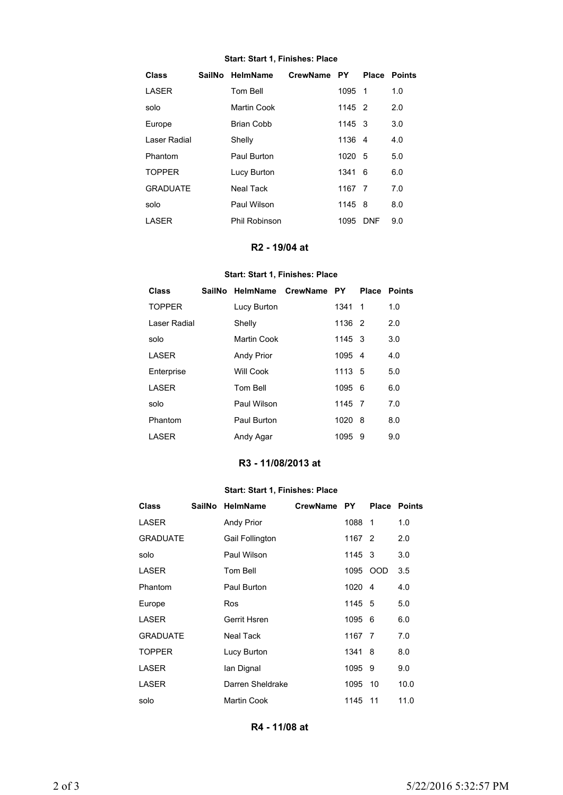#### **Start: Start 1, Finishes: Place**

| Class           | SailNo HelmName   | CrewName PY |        |            | <b>Place Points</b> |
|-----------------|-------------------|-------------|--------|------------|---------------------|
| <b>LASER</b>    | Tom Bell          |             | 1095 1 |            | 1.0                 |
| solo            | Martin Cook       |             | 1145 2 |            | 2.0                 |
| Europe          | <b>Brian Cobb</b> |             | 1145 3 |            | 3.0                 |
| Laser Radial    | Shelly            |             | 1136 4 |            | 4.0                 |
| Phantom         | Paul Burton       |             | 1020 5 |            | 5.0                 |
| <b>TOPPER</b>   | Lucy Burton       |             | 1341 6 |            | 6.0                 |
| <b>GRADUATE</b> | <b>Neal Tack</b>  |             | 1167 7 |            | 7.0                 |
| solo            | Paul Wilson       |             | 1145   | - 8        | 8.0                 |
| LASER           | Phil Robinson     |             | 1095   | <b>DNF</b> | 9.0                 |

## **R2 - 19/04 at**

# **Start: Start 1, Finishes: Place**

| Class         | SailNo |                   | HelmName CrewName | <b>PY</b> | <b>Place</b> | Points |
|---------------|--------|-------------------|-------------------|-----------|--------------|--------|
| <b>TOPPER</b> |        | Lucy Burton       |                   | 1341 1    |              | 1.0    |
| Laser Radial  |        | Shelly            |                   | 1136 2    |              | 2.0    |
| solo          |        | Martin Cook       |                   | 1145 3    |              | 3.0    |
| LASER         |        | <b>Andy Prior</b> |                   | 1095 4    |              | 4.0    |
| Enterprise    |        | Will Cook         |                   | 1113 5    |              | 5.0    |
| LASER         |        | Tom Bell          |                   | 1095      | - 6          | 6.0    |
| solo          |        | Paul Wilson       |                   | 1145 7    |              | 7.0    |
| Phantom       |        | Paul Burton       |                   | 1020      | - 8          | 8.0    |
| LASER         |        | Andy Agar         |                   | 1095      | 9            | 9.0    |

# **R3 - 11/08/2013 at**

## **Start: Start 1, Finishes: Place**

| <b>Class</b>    | SailNo HelmName   | CrewName PY |         | <b>Place</b> | <b>Points</b> |
|-----------------|-------------------|-------------|---------|--------------|---------------|
| LASER           | <b>Andy Prior</b> |             | 1088 1  |              | 1.0           |
| <b>GRADUATE</b> | Gail Follington   |             | 1167 2  |              | 2.0           |
| solo            | Paul Wilson       |             | 1145 3  |              | 3.0           |
| <b>LASER</b>    | Tom Bell          |             |         | 1095 OOD     | 3.5           |
| Phantom         | Paul Burton       |             | 1020 4  |              | 4.0           |
| Europe          | Ros               |             | 1145 5  |              | 5.0           |
| <b>LASER</b>    | Gerrit Hsren      |             | 1095 6  |              | 6.0           |
| <b>GRADUATE</b> | Neal Tack         |             | 1167 7  |              | 7.0           |
| <b>TOPPER</b>   | Lucy Burton       |             | 1341 8  |              | 8.0           |
| LASER           | lan Dignal        |             | 1095 9  |              | 9.0           |
| LASER           | Darren Sheldrake  |             | 1095 10 |              | 10.0          |
| solo            | Martin Cook       |             | 1145 11 |              | 11.0          |

**R4 - 11/08 at**